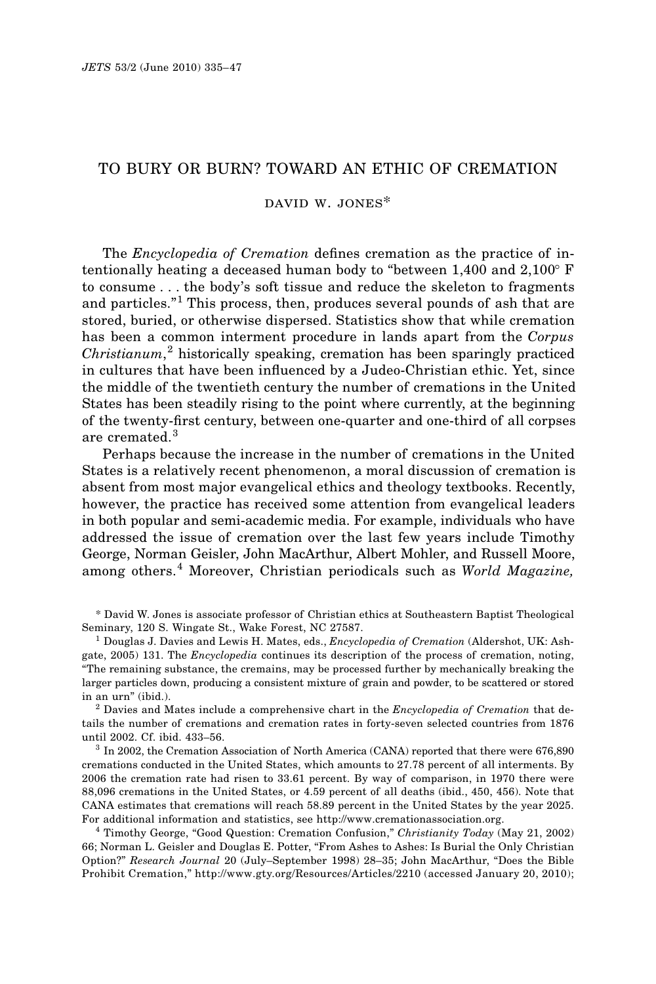# TO BURY OR BURN? TOWARD AN ETHIC OF CREMATION

## david w. jones\*

The *Encyclopedia of Cremation* defines cremation as the practice of intentionally heating a deceased human body to "between  $1,400$  and  $2,100^{\circ}$  F to consume . . . the body's soft tissue and reduce the skeleton to fragments and particles."<sup>1</sup> This process, then, produces several pounds of ash that are stored, buried, or otherwise dispersed. Statistics show that while cremation has been a common interment procedure in lands apart from the *Corpus Christianum*, <sup>2</sup> historically speaking, cremation has been sparingly practiced in cultures that have been influenced by a Judeo-Christian ethic. Yet, since the middle of the twentieth century the number of cremations in the United States has been steadily rising to the point where currently, at the beginning of the twenty-first century, between one-quarter and one-third of all corpses are cremated.<sup>3</sup>

Perhaps because the increase in the number of cremations in the United States is a relatively recent phenomenon, a moral discussion of cremation is absent from most major evangelical ethics and theology textbooks. Recently, however, the practice has received some attention from evangelical leaders in both popular and semi-academic media. For example, individuals who have addressed the issue of cremation over the last few years include Timothy George, Norman Geisler, John MacArthur, Albert Mohler, and Russell Moore, among others.<sup>4</sup> Moreover, Christian periodicals such as *World Magazine,*

\* David W. Jones is associate professor of Christian ethics at Southeastern Baptist Theological Seminary, 120 S. Wingate St., Wake Forest, NC 27587.

<sup>1</sup> Douglas J. Davies and Lewis H. Mates, eds., *Encyclopedia of Cremation* (Aldershot, UK: Ashgate, 2005) 131. The *Encyclopedia* continues its description of the process of cremation, noting, "The remaining substance, the cremains, may be processed further by mechanically breaking the larger particles down, producing a consistent mixture of grain and powder, to be scattered or stored in an urn" (ibid.).

<sup>2</sup> Davies and Mates include a comprehensive chart in the *Encyclopedia of Cremation* that details the number of cremations and cremation rates in forty-seven selected countries from 1876 until 2002. Cf. ibid. 433–56.

<sup>3</sup> In 2002, the Cremation Association of North America (CANA) reported that there were 676,890 cremations conducted in the United States, which amounts to 27.78 percent of all interments. By 2006 the cremation rate had risen to 33.61 percent. By way of comparison, in 1970 there were 88,096 cremations in the United States, or 4.59 percent of all deaths (ibid., 450, 456). Note that CANA estimates that cremations will reach 58.89 percent in the United States by the year 2025. For additional information and statistics, see http://www.cremationassociation.org.

<sup>4</sup> Timothy George, "Good Question: Cremation Confusion," *Christianity Today* (May 21, 2002) 66; Norman L. Geisler and Douglas E. Potter, "From Ashes to Ashes: Is Burial the Only Christian Option?" *Research Journal* 20 (July–September 1998) 28–35; John MacArthur, "Does the Bible Prohibit Cremation," http://www.gty.org/Resources/Articles/2210 (accessed January 20, 2010);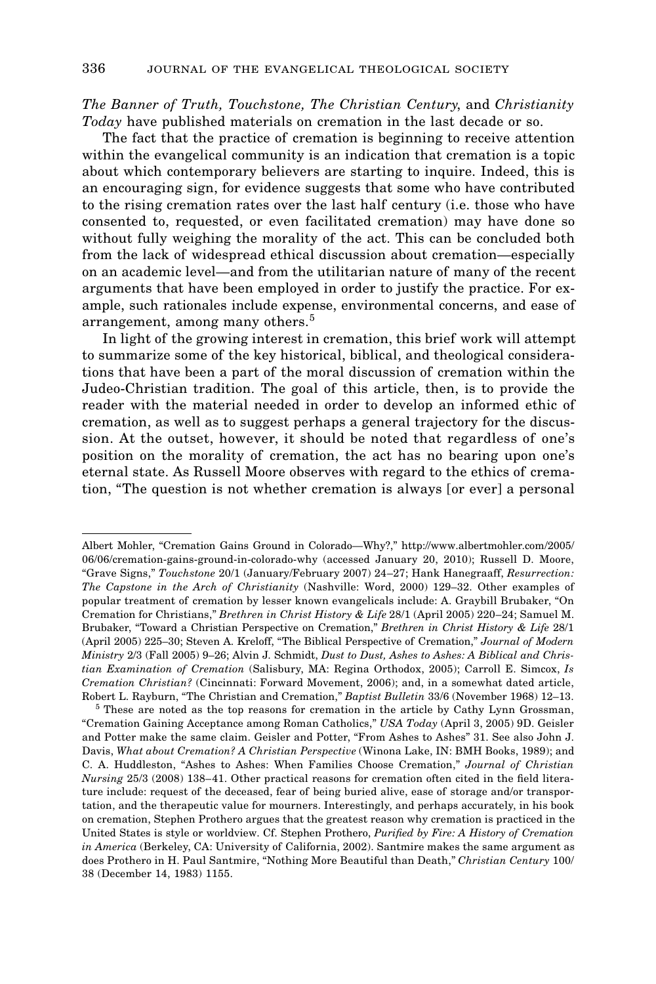*The Banner of Truth, Touchstone, The Christian Century*, and *Christianity Today* have published materials on cremation in the last decade or so.

The fact that the practice of cremation is beginning to receive attention within the evangelical community is an indication that cremation is a topic about which contemporary believers are starting to inquire. Indeed, this is an encouraging sign, for evidence suggests that some who have contributed to the rising cremation rates over the last half century (i.e. those who have consented to, requested, or even facilitated cremation) may have done so without fully weighing the morality of the act. This can be concluded both from the lack of widespread ethical discussion about cremation—especially on an academic level—and from the utilitarian nature of many of the recent arguments that have been employed in order to justify the practice. For example, such rationales include expense, environmental concerns, and ease of arrangement, among many others.<sup>5</sup>

In light of the growing interest in cremation, this brief work will attempt to summarize some of the key historical, biblical, and theological considerations that have been a part of the moral discussion of cremation within the Judeo-Christian tradition. The goal of this article, then, is to provide the reader with the material needed in order to develop an informed ethic of cremation, as well as to suggest perhaps a general trajectory for the discussion. At the outset, however, it should be noted that regardless of one's position on the morality of cremation, the act has no bearing upon one's eternal state. As Russell Moore observes with regard to the ethics of cremation, "The question is not whether cremation is always [or ever] a personal

Albert Mohler, "Cremation Gains Ground in Colorado—Why?," http://www.albertmohler.com/2005/ 06/06/cremation-gains-ground-in-colorado-why (accessed January 20, 2010); Russell D. Moore, "Grave Signs," *Touchstone* 20/1 (January/February 2007) 24–27; Hank Hanegraaff, *Resurrection: The Capstone in the Arch of Christianity* (Nashville: Word, 2000) 129–32. Other examples of popular treatment of cremation by lesser known evangelicals include: A. Graybill Brubaker, "On Cremation for Christians," *Brethren in Christ History & Life* 28/1 (April 2005) 220–24; Samuel M. Brubaker, "Toward a Christian Perspective on Cremation," *Brethren in Christ History & Life* 28/1 (April 2005) 225–30; Steven A. Kreloff, "The Biblical Perspective of Cremation," *Journal of Modern Ministry* 2/3 (Fall 2005) 9–26; Alvin J. Schmidt, *Dust to Dust, Ashes to Ashes: A Biblical and Christian Examination of Cremation* (Salisbury, MA: Regina Orthodox, 2005); Carroll E. Simcox, *Is Cremation Christian?* (Cincinnati: Forward Movement, 2006); and, in a somewhat dated article, Robert L. Rayburn, "The Christian and Cremation," *Baptist Bulletin* 33/6 (November 1968) 12–13.

<sup>&</sup>lt;sup>5</sup> These are noted as the top reasons for cremation in the article by Cathy Lynn Grossman, "Cremation Gaining Acceptance among Roman Catholics," *USA Today* (April 3, 2005) 9D. Geisler and Potter make the same claim. Geisler and Potter, "From Ashes to Ashes" 31. See also John J. Davis, *What about Cremation? A Christian Perspective* (Winona Lake, IN: BMH Books, 1989); and C. A. Huddleston, "Ashes to Ashes: When Families Choose Cremation," *Journal of Christian Nursing* 25/3 (2008) 138–41. Other practical reasons for cremation often cited in the field literature include: request of the deceased, fear of being buried alive, ease of storage and/or transportation, and the therapeutic value for mourners. Interestingly, and perhaps accurately, in his book on cremation, Stephen Prothero argues that the greatest reason why cremation is practiced in the United States is style or worldview. Cf. Stephen Prothero, *Purified by Fire: A History of Cremation in America* (Berkeley, CA: University of California, 2002). Santmire makes the same argument as does Prothero in H. Paul Santmire, "Nothing More Beautiful than Death," *Christian Century* 100/ 38 (December 14, 1983) 1155.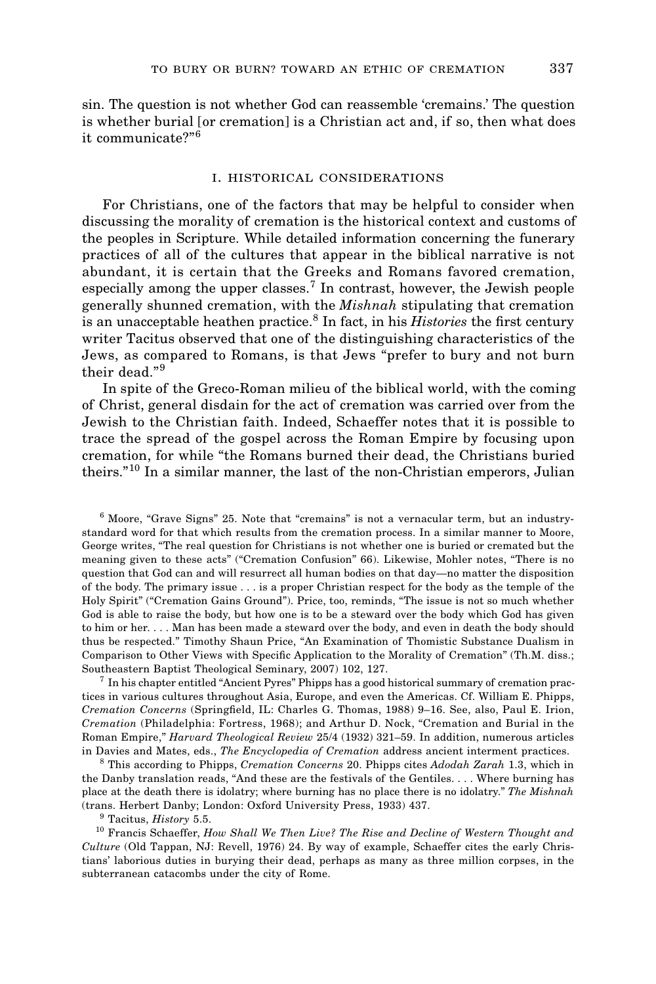sin. The question is not whether God can reassemble 'cremains.' The question is whether burial [or cremation] is a Christian act and, if so, then what does it communicate?"<sup>6</sup>

#### i. historical considerations

For Christians, one of the factors that may be helpful to consider when discussing the morality of cremation is the historical context and customs of the peoples in Scripture. While detailed information concerning the funerary practices of all of the cultures that appear in the biblical narrative is not abundant, it is certain that the Greeks and Romans favored cremation, especially among the upper classes.<sup>7</sup> In contrast, however, the Jewish people generally shunned cremation, with the *Mishnah* stipulating that cremation is an unacceptable heathen practice.<sup>8</sup> In fact, in his *Histories* the first century writer Tacitus observed that one of the distinguishing characteristics of the Jews, as compared to Romans, is that Jews "prefer to bury and not burn their dead."<sup>9</sup>

In spite of the Greco-Roman milieu of the biblical world, with the coming of Christ, general disdain for the act of cremation was carried over from the Jewish to the Christian faith. Indeed, Schaeffer notes that it is possible to trace the spread of the gospel across the Roman Empire by focusing upon cremation, for while "the Romans burned their dead, the Christians buried theirs."<sup>10</sup> In a similar manner, the last of the non-Christian emperors, Julian

<sup>6</sup> Moore, "Grave Signs" 25. Note that "cremains" is not a vernacular term, but an industrystandard word for that which results from the cremation process. In a similar manner to Moore, George writes, "The real question for Christians is not whether one is buried or cremated but the meaning given to these acts" ("Cremation Confusion" 66). Likewise, Mohler notes, "There is no question that God can and will resurrect all human bodies on that day—no matter the disposition of the body. The primary issue . . . is a proper Christian respect for the body as the temple of the Holy Spirit" ("Cremation Gains Ground"). Price, too, reminds, "The issue is not so much whether God is able to raise the body, but how one is to be a steward over the body which God has given to him or her. . . . Man has been made a steward over the body, and even in death the body should thus be respected." Timothy Shaun Price, "An Examination of Thomistic Substance Dualism in Comparison to Other Views with Specific Application to the Morality of Cremation" (Th.M. diss.; Southeastern Baptist Theological Seminary, 2007) 102, 127.

<sup>7</sup> In his chapter entitled "Ancient Pyres" Phipps has a good historical summary of cremation practices in various cultures throughout Asia, Europe, and even the Americas. Cf. William E. Phipps, *Cremation Concerns* (Springfield, IL: Charles G. Thomas, 1988) 9–16. See, also, Paul E. Irion, *Cremation* (Philadelphia: Fortress, 1968); and Arthur D. Nock, "Cremation and Burial in the Roman Empire," *Harvard Theological Review* 25/4 (1932) 321–59. In addition, numerous articles in Davies and Mates, eds., *The Encyclopedia of Cremation* address ancient interment practices.

<sup>8</sup> This according to Phipps, *Cremation Concerns* 20. Phipps cites *Adodah Zarah* 1.3, which in the Danby translation reads, "And these are the festivals of the Gentiles. . . . Where burning has place at the death there is idolatry; where burning has no place there is no idolatry." *The Mishnah* (trans. Herbert Danby; London: Oxford University Press, 1933) 437.

<sup>9</sup> Tacitus, *History* 5.5.

<sup>10</sup> Francis Schaeffer, *How Shall We Then Live? The Rise and Decline of Western Thought and Culture* (Old Tappan, NJ: Revell, 1976) 24. By way of example, Schaeffer cites the early Christians' laborious duties in burying their dead, perhaps as many as three million corpses, in the subterranean catacombs under the city of Rome.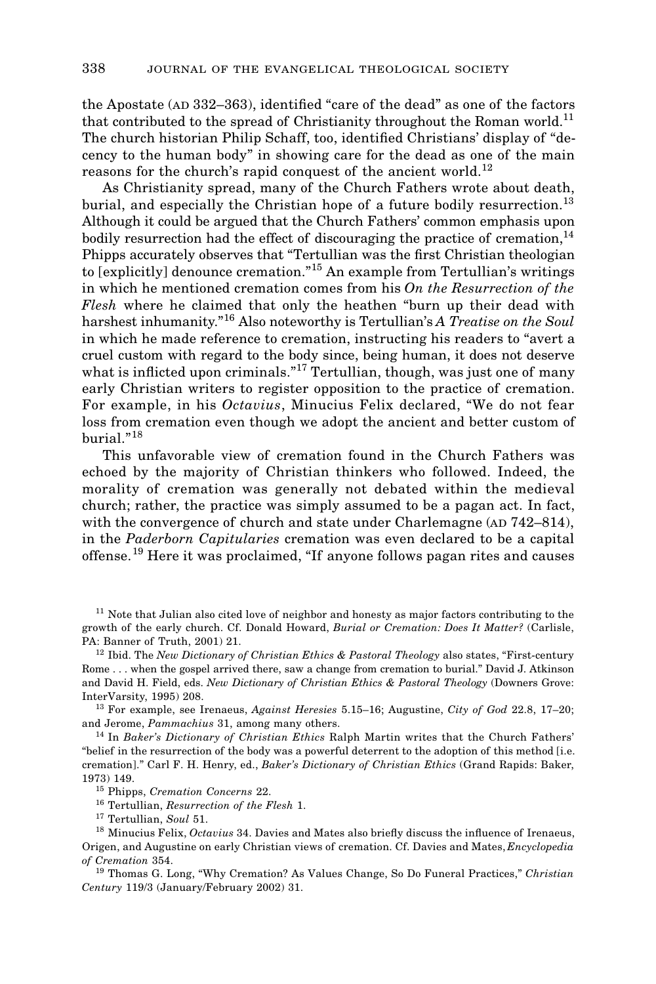the Apostate (AD 332–363), identified "care of the dead" as one of the factors that contributed to the spread of Christianity throughout the Roman world.<sup>11</sup> The church historian Philip Schaff, too, identified Christians' display of "decency to the human body" in showing care for the dead as one of the main reasons for the church's rapid conquest of the ancient world.<sup>12</sup>

As Christianity spread, many of the Church Fathers wrote about death, burial, and especially the Christian hope of a future bodily resurrection.<sup>13</sup> Although it could be argued that the Church Fathers' common emphasis upon bodily resurrection had the effect of discouraging the practice of cremation,  $^{14}$ Phipps accurately observes that "Tertullian was the first Christian theologian to [explicitly] denounce cremation."<sup>15</sup> An example from Tertullian's writings in which he mentioned cremation comes from his *On the Resurrection of the Flesh* where he claimed that only the heathen "burn up their dead with harshest inhumanity."<sup>16</sup> Also noteworthy is Tertullian's *A Treatise on the Soul* in which he made reference to cremation, instructing his readers to "avert a cruel custom with regard to the body since, being human, it does not deserve what is inflicted upon criminals."<sup>17</sup> Tertullian, though, was just one of many early Christian writers to register opposition to the practice of cremation. For example, in his *Octavius*, Minucius Felix declared, "We do not fear loss from cremation even though we adopt the ancient and better custom of burial."<sup>18</sup>

This unfavorable view of cremation found in the Church Fathers was echoed by the majority of Christian thinkers who followed. Indeed, the morality of cremation was generally not debated within the medieval church; rather, the practice was simply assumed to be a pagan act. In fact, with the convergence of church and state under Charlemagne ( $AD$   $742-814$ ), in the *Paderborn Capitularies* cremation was even declared to be a capital offense.<sup>19</sup> Here it was proclaimed, "If anyone follows pagan rites and causes

<sup>11</sup> Note that Julian also cited love of neighbor and honesty as major factors contributing to the growth of the early church. Cf. Donald Howard, *Burial or Cremation: Does It Matter?* (Carlisle, PA: Banner of Truth, 2001) 21.

<sup>12</sup> Ibid. The *New Dictionary of Christian Ethics & Pastoral Theology* also states, "First-century Rome . . . when the gospel arrived there, saw a change from cremation to burial." David J. Atkinson and David H. Field, eds. *New Dictionary of Christian Ethics & Pastoral Theology* (Downers Grove: InterVarsity, 1995) 208.

<sup>13</sup> For example, see Irenaeus, *Against Heresies* 5.15–16; Augustine, *City of God* 22.8, 17–20; and Jerome, *Pammachius* 31, among many others.

<sup>14</sup> In *Baker's Dictionary of Christian Ethics* Ralph Martin writes that the Church Fathers' "belief in the resurrection of the body was a powerful deterrent to the adoption of this method [i.e. cremation]." Carl F. H. Henry, ed., *Baker's Dictionary of Christian Ethics* (Grand Rapids: Baker, 1973) 149.

<sup>15</sup> Phipps, *Cremation Concerns* 22.

<sup>16</sup> Tertullian, *Resurrection of the Flesh* 1.

<sup>17</sup> Tertullian, *Soul* 51.

<sup>18</sup> Minucius Felix, *Octavius* 34. Davies and Mates also briefly discuss the influence of Irenaeus, Origen, and Augustine on early Christian views of cremation. Cf. Davies and Mates, *Encyclopedia of Cremation* 354.

<sup>19</sup> Thomas G. Long, "Why Cremation? As Values Change, So Do Funeral Practices," *Christian Century* 119/3 (January/February 2002) 31.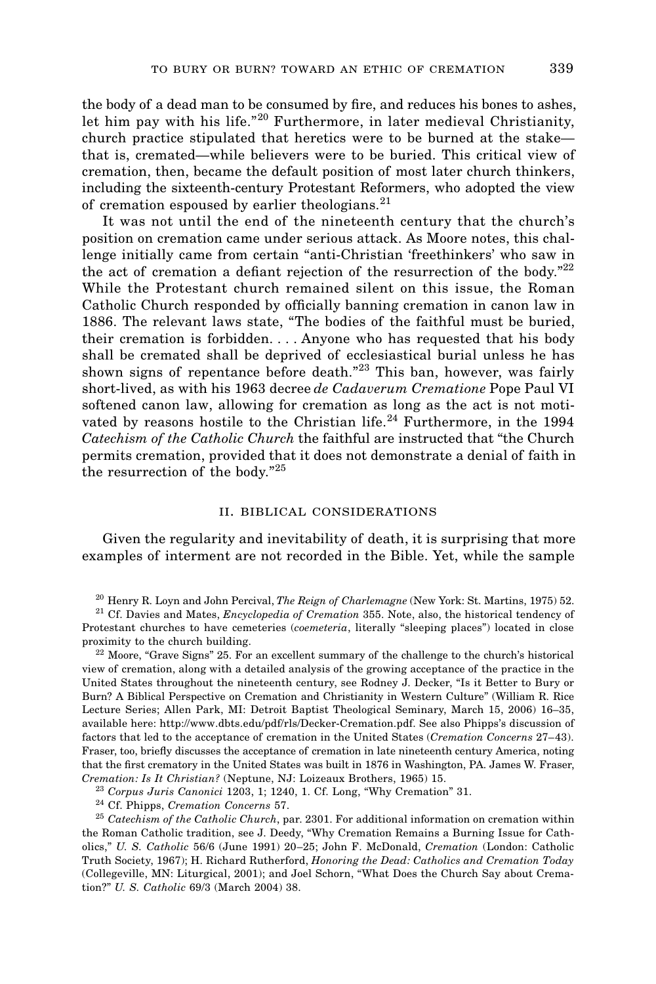the body of a dead man to be consumed by fire, and reduces his bones to ashes, let him pay with his life."<sup>20</sup> Furthermore, in later medieval Christianity, church practice stipulated that heretics were to be burned at the stake that is, cremated—while believers were to be buried. This critical view of cremation, then, became the default position of most later church thinkers, including the sixteenth-century Protestant Reformers, who adopted the view of cremation espoused by earlier theologians.<sup>21</sup>

It was not until the end of the nineteenth century that the church's position on cremation came under serious attack. As Moore notes, this challenge initially came from certain "anti-Christian 'freethinkers' who saw in the act of cremation a defiant rejection of the resurrection of the body. $22$ While the Protestant church remained silent on this issue, the Roman Catholic Church responded by officially banning cremation in canon law in 1886. The relevant laws state, "The bodies of the faithful must be buried, their cremation is forbidden. . . . Anyone who has requested that his body shall be cremated shall be deprived of ecclesiastical burial unless he has shown signs of repentance before death."<sup>23</sup> This ban, however, was fairly short-lived, as with his 1963 decree *de Cadaverum Crematione* Pope Paul VI softened canon law, allowing for cremation as long as the act is not motivated by reasons hostile to the Christian life.<sup>24</sup> Furthermore, in the 1994 *Catechism of the Catholic Church* the faithful are instructed that "the Church permits cremation, provided that it does not demonstrate a denial of faith in the resurrection of the body."<sup>25</sup>

## ii. biblical considerations

Given the regularity and inevitability of death, it is surprising that more examples of interment are not recorded in the Bible. Yet, while the sample

<sup>22</sup> Moore, "Grave Signs" 25. For an excellent summary of the challenge to the church's historical view of cremation, along with a detailed analysis of the growing acceptance of the practice in the United States throughout the nineteenth century, see Rodney J. Decker, "Is it Better to Bury or Burn? A Biblical Perspective on Cremation and Christianity in Western Culture" (William R. Rice Lecture Series; Allen Park, MI: Detroit Baptist Theological Seminary, March 15, 2006) 16–35, available here: http://www.dbts.edu/pdf/rls/Decker-Cremation.pdf. See also Phipps's discussion of factors that led to the acceptance of cremation in the United States (*Cremation Concerns* 27–43). Fraser, too, briefly discusses the acceptance of cremation in late nineteenth century America, noting that the first crematory in the United States was built in 1876 in Washington, PA. James W. Fraser, *Cremation: Is It Christian?* (Neptune, NJ: Loizeaux Brothers, 1965) 15.

<sup>23</sup> *Corpus Juris Canonici* 1203, 1; 1240, 1. Cf. Long, "Why Cremation" 31.

<sup>24</sup> Cf. Phipps, *Cremation Concerns* 57.

<sup>25</sup> *Catechism of the Catholic Church*, par. 2301. For additional information on cremation within the Roman Catholic tradition, see J. Deedy, "Why Cremation Remains a Burning Issue for Catholics," *U. S. Catholic* 56/6 (June 1991) 20–25; John F. McDonald, *Cremation* (London: Catholic Truth Society, 1967); H. Richard Rutherford, *Honoring the Dead: Catholics and Cremation Today* (Collegeville, MN: Liturgical, 2001); and Joel Schorn, "What Does the Church Say about Cremation?" *U. S. Catholic* 69/3 (March 2004) 38.

<sup>20</sup> Henry R. Loyn and John Percival, *The Reign of Charlemagne* (New York: St. Martins, 1975) 52.

<sup>21</sup> Cf. Davies and Mates, *Encyclopedia of Cremation* 355. Note, also, the historical tendency of Protestant churches to have cemeteries (*coemeteria*, literally "sleeping places") located in close proximity to the church building.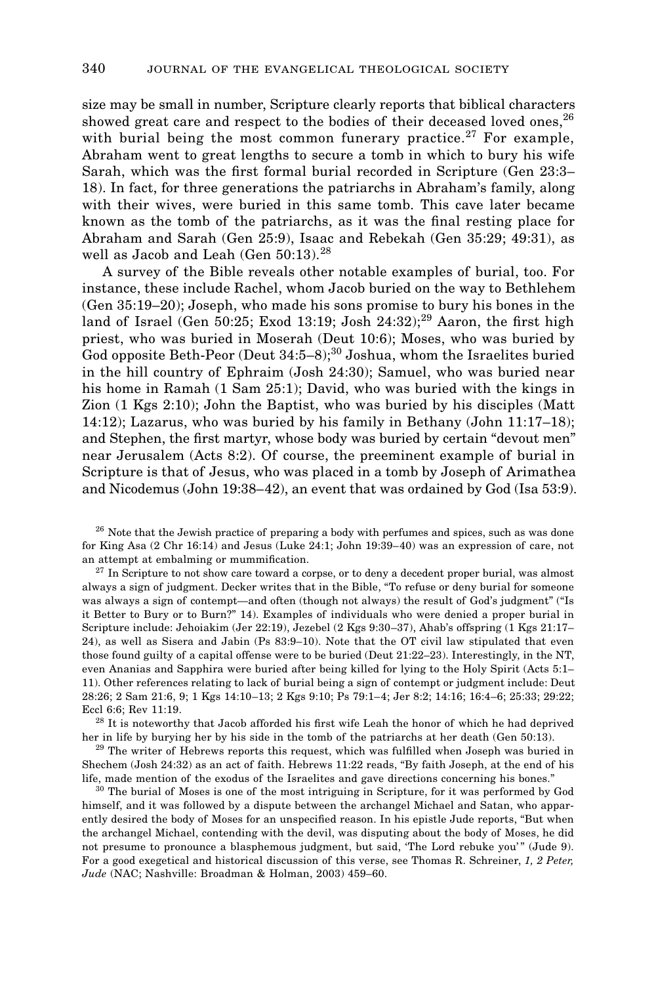size may be small in number, Scripture clearly reports that biblical characters showed great care and respect to the bodies of their deceased loved ones, <sup>26</sup> with burial being the most common funerary practice.<sup>27</sup> For example, Abraham went to great lengths to secure a tomb in which to bury his wife Sarah, which was the first formal burial recorded in Scripture (Gen 23:3– 18). In fact, for three generations the patriarchs in Abraham's family, along with their wives, were buried in this same tomb. This cave later became known as the tomb of the patriarchs, as it was the final resting place for Abraham and Sarah (Gen 25:9), Isaac and Rebekah (Gen 35:29; 49:31), as well as Jacob and Leah (Gen 50:13).<sup>28</sup>

A survey of the Bible reveals other notable examples of burial, too. For instance, these include Rachel, whom Jacob buried on the way to Bethlehem (Gen 35:19–20); Joseph, who made his sons promise to bury his bones in the land of Israel (Gen 50:25; Exod 13:19; Josh  $24:32$ );<sup>29</sup> Aaron, the first high priest, who was buried in Moserah (Deut 10:6); Moses, who was buried by God opposite Beth-Peor (Deut  $34:5-8$ );<sup>30</sup> Joshua, whom the Israelites buried in the hill country of Ephraim (Josh 24:30); Samuel, who was buried near his home in Ramah (1 Sam 25:1); David, who was buried with the kings in Zion (1 Kgs 2:10); John the Baptist, who was buried by his disciples (Matt 14:12); Lazarus, who was buried by his family in Bethany (John 11:17–18); and Stephen, the first martyr, whose body was buried by certain "devout men" near Jerusalem (Acts 8:2). Of course, the preeminent example of burial in Scripture is that of Jesus, who was placed in a tomb by Joseph of Arimathea and Nicodemus (John 19:38–42), an event that was ordained by God (Isa 53:9).

<sup>26</sup> Note that the Jewish practice of preparing a body with perfumes and spices, such as was done for King Asa (2 Chr 16:14) and Jesus (Luke 24:1; John 19:39–40) was an expression of care, not an attempt at embalming or mummification.

 $2<sup>7</sup>$  In Scripture to not show care toward a corpse, or to deny a decedent proper burial, was almost always a sign of judgment. Decker writes that in the Bible, "To refuse or deny burial for someone was always a sign of contempt—and often (though not always) the result of God's judgment" ("Is it Better to Bury or to Burn?" 14). Examples of individuals who were denied a proper burial in Scripture include: Jehoiakim (Jer 22:19), Jezebel (2 Kgs 9:30–37), Ahab's offspring (1 Kgs 21:17– 24), as well as Sisera and Jabin (Ps 83:9–10). Note that the OT civil law stipulated that even those found guilty of a capital offense were to be buried (Deut 21:22–23). Interestingly, in the NT, even Ananias and Sapphira were buried after being killed for lying to the Holy Spirit (Acts 5:1– 11). Other references relating to lack of burial being a sign of contempt or judgment include: Deut 28:26; 2 Sam 21:6, 9; 1 Kgs 14:10–13; 2 Kgs 9:10; Ps 79:1–4; Jer 8:2; 14:16; 16:4–6; 25:33; 29:22; Eccl 6:6; Rev 11:19.

<sup>28</sup> It is noteworthy that Jacob afforded his first wife Leah the honor of which he had deprived her in life by burying her by his side in the tomb of the patriarchs at her death (Gen 50:13).

<sup>29</sup> The writer of Hebrews reports this request, which was fulfilled when Joseph was buried in Shechem (Josh 24:32) as an act of faith. Hebrews 11:22 reads, "By faith Joseph, at the end of his life, made mention of the exodus of the Israelites and gave directions concerning his bones."

<sup>30</sup> The burial of Moses is one of the most intriguing in Scripture, for it was performed by God himself, and it was followed by a dispute between the archangel Michael and Satan, who apparently desired the body of Moses for an unspecified reason. In his epistle Jude reports, "But when the archangel Michael, contending with the devil, was disputing about the body of Moses, he did not presume to pronounce a blasphemous judgment, but said, 'The Lord rebuke you'" (Jude 9). For a good exegetical and historical discussion of this verse, see Thomas R. Schreiner, *1, 2 Peter, Jude* (NAC; Nashville: Broadman & Holman, 2003) 459–60.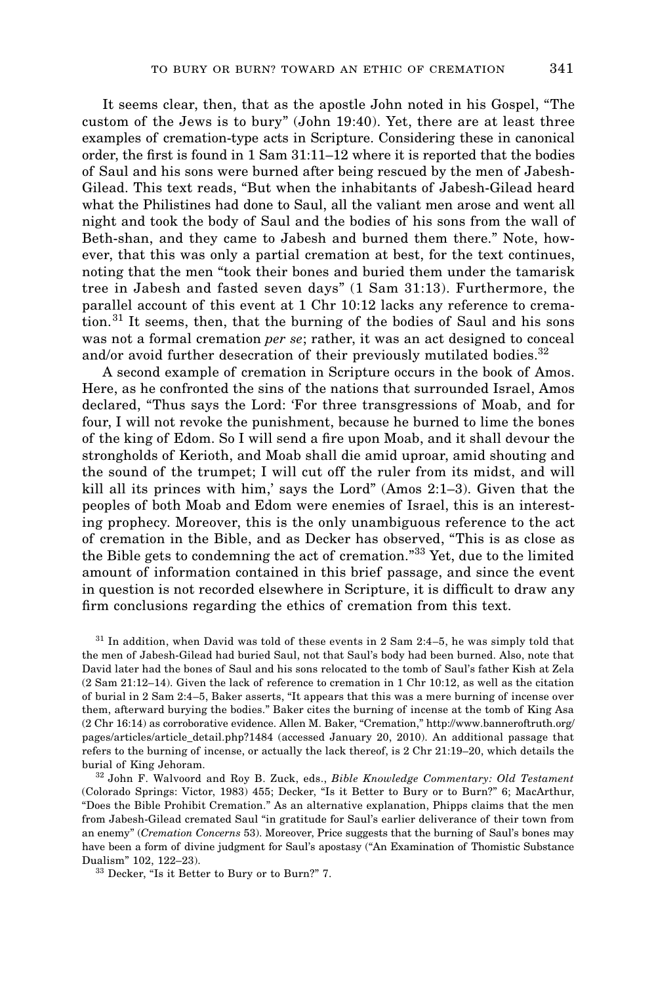It seems clear, then, that as the apostle John noted in his Gospel, "The custom of the Jews is to bury" (John 19:40). Yet, there are at least three examples of cremation-type acts in Scripture. Considering these in canonical order, the first is found in 1 Sam 31:11–12 where it is reported that the bodies of Saul and his sons were burned after being rescued by the men of Jabesh-Gilead. This text reads, "But when the inhabitants of Jabesh-Gilead heard what the Philistines had done to Saul, all the valiant men arose and went all night and took the body of Saul and the bodies of his sons from the wall of Beth-shan, and they came to Jabesh and burned them there." Note, however, that this was only a partial cremation at best, for the text continues, noting that the men "took their bones and buried them under the tamarisk tree in Jabesh and fasted seven days" (1 Sam 31:13). Furthermore, the parallel account of this event at 1 Chr 10:12 lacks any reference to cremation.<sup>31</sup> It seems, then, that the burning of the bodies of Saul and his sons was not a formal cremation *per se*; rather, it was an act designed to conceal and/or avoid further desecration of their previously mutilated bodies. $32$ 

A second example of cremation in Scripture occurs in the book of Amos. Here, as he confronted the sins of the nations that surrounded Israel, Amos declared, "Thus says the Lord: 'For three transgressions of Moab, and for four, I will not revoke the punishment, because he burned to lime the bones of the king of Edom. So I will send a fire upon Moab, and it shall devour the strongholds of Kerioth, and Moab shall die amid uproar, amid shouting and the sound of the trumpet; I will cut off the ruler from its midst, and will kill all its princes with him,' says the Lord" (Amos 2:1–3). Given that the peoples of both Moab and Edom were enemies of Israel, this is an interesting prophecy. Moreover, this is the only unambiguous reference to the act of cremation in the Bible, and as Decker has observed, "This is as close as the Bible gets to condemning the act of cremation."<sup>33</sup> Yet, due to the limited amount of information contained in this brief passage, and since the event in question is not recorded elsewhere in Scripture, it is difficult to draw any firm conclusions regarding the ethics of cremation from this text.

 $31$  In addition, when David was told of these events in 2 Sam 2:4–5, he was simply told that the men of Jabesh-Gilead had buried Saul, not that Saul's body had been burned. Also, note that David later had the bones of Saul and his sons relocated to the tomb of Saul's father Kish at Zela (2 Sam 21:12–14). Given the lack of reference to cremation in 1 Chr 10:12, as well as the citation of burial in 2 Sam 2:4–5, Baker asserts, "It appears that this was a mere burning of incense over them, afterward burying the bodies." Baker cites the burning of incense at the tomb of King Asa (2 Chr 16:14) as corroborative evidence. Allen M. Baker, "Cremation," http://www.banneroftruth.org/ pages/articles/article\_detail.php?1484 (accessed January 20, 2010). An additional passage that refers to the burning of incense, or actually the lack thereof, is 2 Chr 21:19–20, which details the burial of King Jehoram.

<sup>32</sup> John F. Walvoord and Roy B. Zuck, eds., *Bible Knowledge Commentary: Old Testament* (Colorado Springs: Victor, 1983) 455; Decker, "Is it Better to Bury or to Burn?" 6; MacArthur, "Does the Bible Prohibit Cremation." As an alternative explanation, Phipps claims that the men from Jabesh-Gilead cremated Saul "in gratitude for Saul's earlier deliverance of their town from an enemy" (*Cremation Concerns* 53). Moreover, Price suggests that the burning of Saul's bones may have been a form of divine judgment for Saul's apostasy ("An Examination of Thomistic Substance Dualism" 102, 122–23).

<sup>33</sup> Decker, "Is it Better to Bury or to Burn?" 7.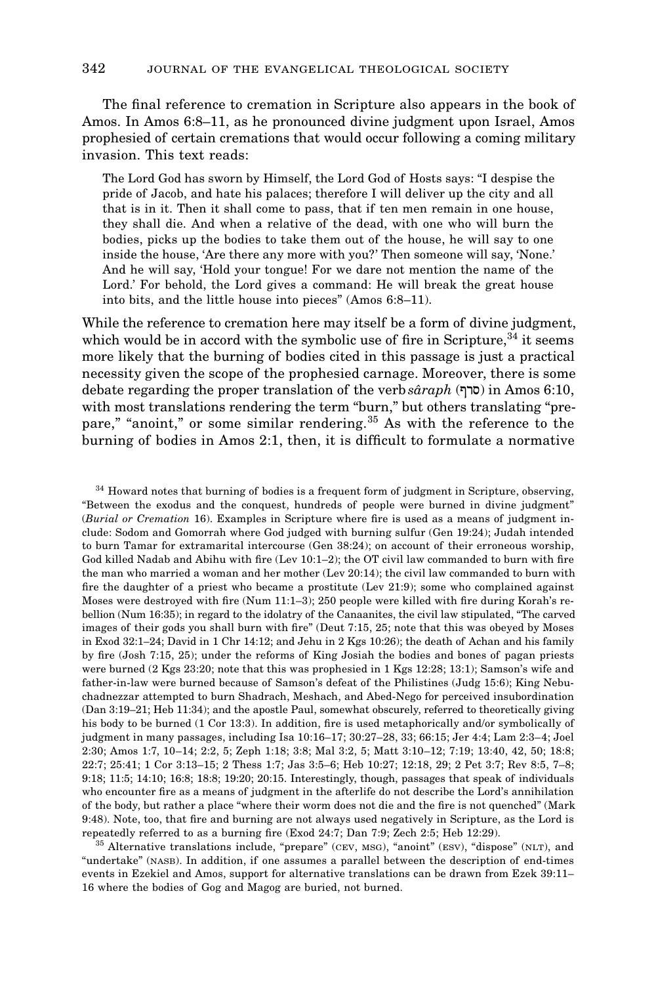The final reference to cremation in Scripture also appears in the book of Amos. In Amos 6:8–11, as he pronounced divine judgment upon Israel, Amos prophesied of certain cremations that would occur following a coming military invasion. This text reads:

The Lord God has sworn by Himself, the Lord God of Hosts says: "I despise the pride of Jacob, and hate his palaces; therefore I will deliver up the city and all that is in it. Then it shall come to pass, that if ten men remain in one house, they shall die. And when a relative of the dead, with one who will burn the bodies, picks up the bodies to take them out of the house, he will say to one inside the house, 'Are there any more with you?' Then someone will say, 'None.' And he will say, 'Hold your tongue! For we dare not mention the name of the Lord.' For behold, the Lord gives a command: He will break the great house into bits, and the little house into pieces" (Amos 6:8–11).

While the reference to cremation here may itself be a form of divine judgment, which would be in accord with the symbolic use of fire in Scripture,  $34$  it seems more likely that the burning of bodies cited in this passage is just a practical necessity given the scope of the prophesied carnage. Moreover, there is some debate regarding the proper translation of the verb *sâraph* (סרף) in Amos 6:10, with most translations rendering the term "burn," but others translating "prepare," "anoint," or some similar rendering.<sup>35</sup> As with the reference to the burning of bodies in Amos 2:1, then, it is difficult to formulate a normative

<sup>34</sup> Howard notes that burning of bodies is a frequent form of judgment in Scripture, observing, "Between the exodus and the conquest, hundreds of people were burned in divine judgment" (*Burial or Cremation* 16). Examples in Scripture where fire is used as a means of judgment include: Sodom and Gomorrah where God judged with burning sulfur (Gen 19:24); Judah intended to burn Tamar for extramarital intercourse (Gen 38:24); on account of their erroneous worship, God killed Nadab and Abihu with fire (Lev 10:1–2); the OT civil law commanded to burn with fire the man who married a woman and her mother (Lev 20:14); the civil law commanded to burn with fire the daughter of a priest who became a prostitute (Lev 21:9); some who complained against Moses were destroyed with fire (Num 11:1–3); 250 people were killed with fire during Korah's rebellion (Num 16:35); in regard to the idolatry of the Canaanites, the civil law stipulated, "The carved images of their gods you shall burn with fire" (Deut 7:15, 25; note that this was obeyed by Moses in Exod 32:1–24; David in 1 Chr 14:12; and Jehu in 2 Kgs 10:26); the death of Achan and his family by fire (Josh 7:15, 25); under the reforms of King Josiah the bodies and bones of pagan priests were burned (2 Kgs 23:20; note that this was prophesied in 1 Kgs 12:28; 13:1); Samson's wife and father-in-law were burned because of Samson's defeat of the Philistines (Judg 15:6); King Nebuchadnezzar attempted to burn Shadrach, Meshach, and Abed-Nego for perceived insubordination (Dan 3:19–21; Heb 11:34); and the apostle Paul, somewhat obscurely, referred to theoretically giving his body to be burned (1 Cor 13:3). In addition, fire is used metaphorically and/or symbolically of judgment in many passages, including Isa 10:16–17; 30:27–28, 33; 66:15; Jer 4:4; Lam 2:3–4; Joel 2:30; Amos 1:7, 10–14; 2:2, 5; Zeph 1:18; 3:8; Mal 3:2, 5; Matt 3:10–12; 7:19; 13:40, 42, 50; 18:8; 22:7; 25:41; 1 Cor 3:13–15; 2 Thess 1:7; Jas 3:5–6; Heb 10:27; 12:18, 29; 2 Pet 3:7; Rev 8:5, 7–8; 9:18; 11:5; 14:10; 16:8; 18:8; 19:20; 20:15. Interestingly, though, passages that speak of individuals who encounter fire as a means of judgment in the afterlife do not describe the Lord's annihilation of the body, but rather a place "where their worm does not die and the fire is not quenched" (Mark 9:48). Note, too, that fire and burning are not always used negatively in Scripture, as the Lord is

repeatedly referred to as a burning fire (Exod 24:7; Dan 7:9; Zech 2:5; Heb 12:29).<br><sup>35</sup> Alternative translations include, "prepare" (cev, msg), "anoint" (esv), "dispose" (NLT), and "undertake" (NASB). In addition, if one assumes a parallel between the description of end-times events in Ezekiel and Amos, support for alternative translations can be drawn from Ezek 39:11– 16 where the bodies of Gog and Magog are buried, not burned.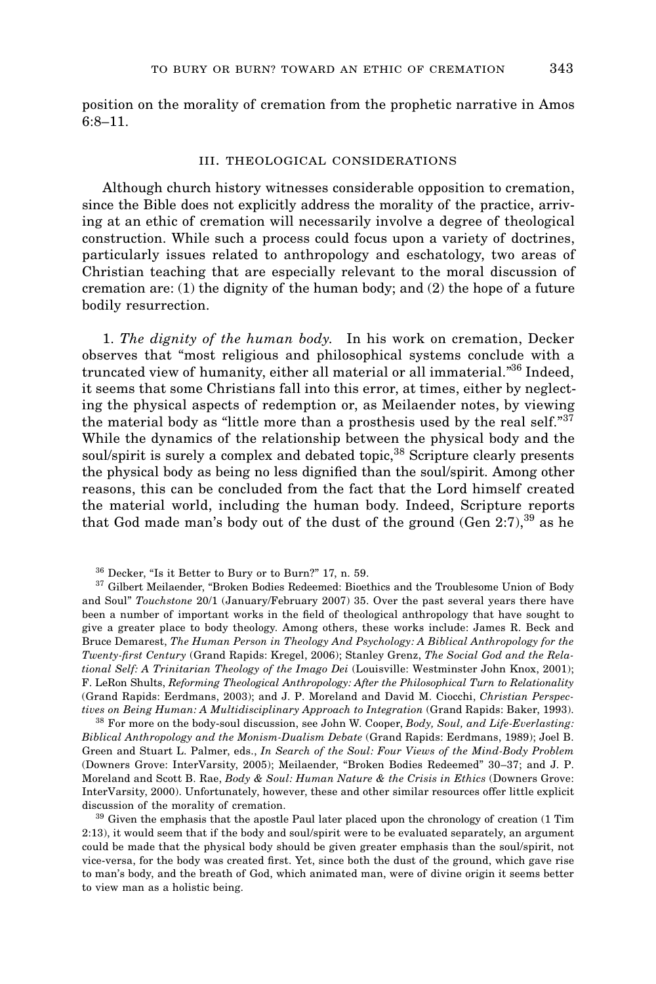position on the morality of cremation from the prophetic narrative in Amos 6:8–11.

### iii. theological considerations

Although church history witnesses considerable opposition to cremation, since the Bible does not explicitly address the morality of the practice, arriving at an ethic of cremation will necessarily involve a degree of theological construction. While such a process could focus upon a variety of doctrines, particularly issues related to anthropology and eschatology, two areas of Christian teaching that are especially relevant to the moral discussion of cremation are: (1) the dignity of the human body; and (2) the hope of a future bodily resurrection.

1. *The dignity of the human body*. In his work on cremation, Decker observes that "most religious and philosophical systems conclude with a truncated view of humanity, either all material or all immaterial."36 Indeed, it seems that some Christians fall into this error, at times, either by neglecting the physical aspects of redemption or, as Meilaender notes, by viewing the material body as "little more than a prosthesis used by the real self."<sup>37</sup> While the dynamics of the relationship between the physical body and the soul/spirit is surely a complex and debated topic,<sup>38</sup> Scripture clearly presents the physical body as being no less dignified than the soul/spirit. Among other reasons, this can be concluded from the fact that the Lord himself created the material world, including the human body. Indeed, Scripture reports that God made man's body out of the dust of the ground  $(Gen 2:7),<sup>39</sup>$  as he

<sup>37</sup> Gilbert Meilaender, "Broken Bodies Redeemed: Bioethics and the Troublesome Union of Body and Soul" *Touchstone* 20/1 (January/February 2007) 35. Over the past several years there have been a number of important works in the field of theological anthropology that have sought to give a greater place to body theology. Among others, these works include: James R. Beck and Bruce Demarest, *The Human Person in Theology And Psychology: A Biblical Anthropology for the Twenty-first Century* (Grand Rapids: Kregel, 2006); Stanley Grenz, *The Social God and the Relational Self: A Trinitarian Theology of the Imago Dei* (Louisville: Westminster John Knox, 2001); F. LeRon Shults, *Reforming Theological Anthropology: After the Philosophical Turn to Relationality* (Grand Rapids: Eerdmans, 2003); and J. P. Moreland and David M. Ciocchi, *Christian Perspectives on Being Human: A Multidisciplinary Approach to Integration* (Grand Rapids: Baker, 1993).

<sup>38</sup> For more on the body-soul discussion, see John W. Cooper, *Body, Soul, and Life-Everlasting: Biblical Anthropology and the Monism-Dualism Debate* (Grand Rapids: Eerdmans, 1989); Joel B. Green and Stuart L. Palmer, eds., *In Search of the Soul: Four Views of the Mind-Body Problem* (Downers Grove: InterVarsity, 2005); Meilaender, "Broken Bodies Redeemed" 30–37; and J. P. Moreland and Scott B. Rae, *Body & Soul: Human Nature & the Crisis in Ethics* (Downers Grove: InterVarsity, 2000). Unfortunately, however, these and other similar resources offer little explicit discussion of the morality of cremation.

 $^\mathrm{39}$  Given the emphasis that the apostle Paul later placed upon the chronology of creation (1 Tim 2:13), it would seem that if the body and soul/spirit were to be evaluated separately, an argument could be made that the physical body should be given greater emphasis than the soul/spirit, not vice-versa, for the body was created first. Yet, since both the dust of the ground, which gave rise to man's body, and the breath of God, which animated man, were of divine origin it seems better to view man as a holistic being.

<sup>36</sup> Decker, "Is it Better to Bury or to Burn?" 17, n. 59.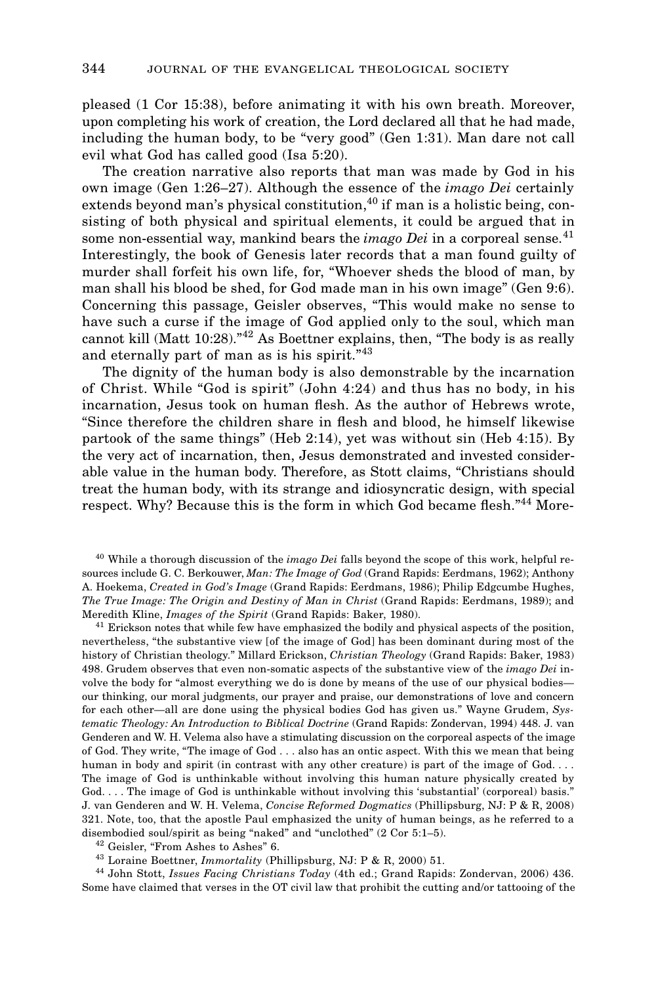pleased (1 Cor 15:38), before animating it with his own breath. Moreover, upon completing his work of creation, the Lord declared all that he had made, including the human body, to be "very good" (Gen 1:31). Man dare not call evil what God has called good (Isa 5:20).

The creation narrative also reports that man was made by God in his own image (Gen 1:26–27). Although the essence of the *imago Dei* certainly extends beyond man's physical constitution,  $40$  if man is a holistic being, consisting of both physical and spiritual elements, it could be argued that in some non-essential way, mankind bears the *imago Dei* in a corporeal sense.<sup>41</sup> Interestingly, the book of Genesis later records that a man found guilty of murder shall forfeit his own life, for, "Whoever sheds the blood of man, by man shall his blood be shed, for God made man in his own image" (Gen 9:6). Concerning this passage, Geisler observes, "This would make no sense to have such a curse if the image of God applied only to the soul, which man cannot kill (Matt 10:28).<sup>"42</sup> As Boettner explains, then, "The body is as really and eternally part of man as is his spirit."<sup>43</sup>

The dignity of the human body is also demonstrable by the incarnation of Christ. While "God is spirit" (John 4:24) and thus has no body, in his incarnation, Jesus took on human flesh. As the author of Hebrews wrote, "Since therefore the children share in flesh and blood, he himself likewise partook of the same things" (Heb 2:14), yet was without sin (Heb 4:15). By the very act of incarnation, then, Jesus demonstrated and invested considerable value in the human body. Therefore, as Stott claims, "Christians should treat the human body, with its strange and idiosyncratic design, with special respect. Why? Because this is the form in which God became flesh."<sup>44</sup> More-

<sup>40</sup> While a thorough discussion of the *imago Dei* falls beyond the scope of this work, helpful resources include G. C. Berkouwer, *Man: The Image of God* (Grand Rapids: Eerdmans, 1962); Anthony A. Hoekema, *Created in God's Image* (Grand Rapids: Eerdmans, 1986); Philip Edgcumbe Hughes, *The True Image: The Origin and Destiny of Man in Christ* (Grand Rapids: Eerdmans, 1989); and Meredith Kline, *Images of the Spirit* (Grand Rapids: Baker, 1980).

<sup>41</sup> Erickson notes that while few have emphasized the bodily and physical aspects of the position, nevertheless, "the substantive view [of the image of God] has been dominant during most of the history of Christian theology." Millard Erickson, *Christian Theology* (Grand Rapids: Baker, 1983) 498. Grudem observes that even non-somatic aspects of the substantive view of the *imago Dei* involve the body for "almost everything we do is done by means of the use of our physical bodies our thinking, our moral judgments, our prayer and praise, our demonstrations of love and concern for each other—all are done using the physical bodies God has given us." Wayne Grudem, *Systematic Theology: An Introduction to Biblical Doctrine* (Grand Rapids: Zondervan, 1994) 448. J. van Genderen and W. H. Velema also have a stimulating discussion on the corporeal aspects of the image of God. They write, "The image of God . . . also has an ontic aspect. With this we mean that being human in body and spirit (in contrast with any other creature) is part of the image of God. . . . The image of God is unthinkable without involving this human nature physically created by God. . . . The image of God is unthinkable without involving this 'substantial' (corporeal) basis." J. van Genderen and W. H. Velema, *Concise Reformed Dogmatics* (Phillipsburg, NJ: P & R, 2008) 321. Note, too, that the apostle Paul emphasized the unity of human beings, as he referred to a disembodied soul/spirit as being "naked" and "unclothed" (2 Cor 5:1–5).

<sup>42</sup> Geisler, "From Ashes to Ashes" 6.

<sup>43</sup> Loraine Boettner, *Immortality* (Phillipsburg, NJ: P & R, 2000) 51.

<sup>44</sup> John Stott, *Issues Facing Christians Today* (4th ed.; Grand Rapids: Zondervan, 2006) 436. Some have claimed that verses in the OT civil law that prohibit the cutting and/or tattooing of the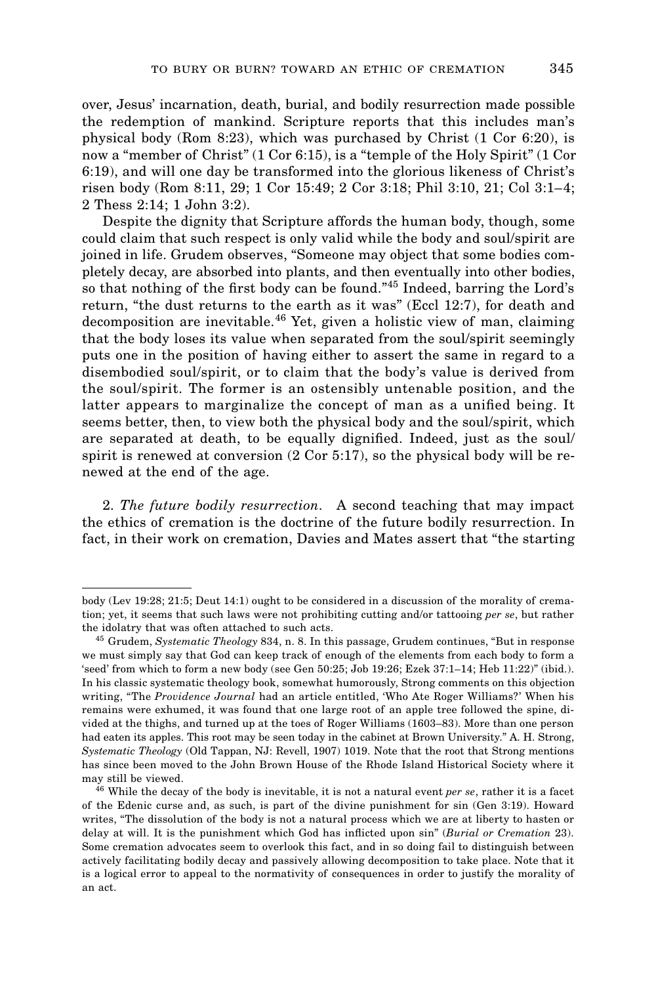over, Jesus' incarnation, death, burial, and bodily resurrection made possible the redemption of mankind. Scripture reports that this includes man's physical body (Rom 8:23), which was purchased by Christ (1 Cor 6:20), is now a "member of Christ" (1 Cor 6:15), is a "temple of the Holy Spirit" (1 Cor 6:19), and will one day be transformed into the glorious likeness of Christ's risen body (Rom 8:11, 29; 1 Cor 15:49; 2 Cor 3:18; Phil 3:10, 21; Col 3:1–4; 2 Thess 2:14; 1 John 3:2).

Despite the dignity that Scripture affords the human body, though, some could claim that such respect is only valid while the body and soul/spirit are joined in life. Grudem observes, "Someone may object that some bodies completely decay, are absorbed into plants, and then eventually into other bodies, so that nothing of the first body can be found."<sup>45</sup> Indeed, barring the Lord's return, "the dust returns to the earth as it was" (Eccl 12:7), for death and decomposition are inevitable.<sup>46</sup> Yet, given a holistic view of man, claiming that the body loses its value when separated from the soul/spirit seemingly puts one in the position of having either to assert the same in regard to a disembodied soul/spirit, or to claim that the body's value is derived from the soul/spirit. The former is an ostensibly untenable position, and the latter appears to marginalize the concept of man as a unified being. It seems better, then, to view both the physical body and the soul/spirit, which are separated at death, to be equally dignified. Indeed, just as the soul/ spirit is renewed at conversion (2 Cor 5:17), so the physical body will be renewed at the end of the age.

2. *The future bodily resurrection*. A second teaching that may impact the ethics of cremation is the doctrine of the future bodily resurrection. In fact, in their work on cremation, Davies and Mates assert that "the starting

body (Lev 19:28; 21:5; Deut 14:1) ought to be considered in a discussion of the morality of cremation; yet, it seems that such laws were not prohibiting cutting and/or tattooing *per se*, but rather the idolatry that was often attached to such acts.

<sup>45</sup> Grudem, *Systematic Theology* 834, n. 8. In this passage, Grudem continues, "But in response we must simply say that God can keep track of enough of the elements from each body to form a 'seed' from which to form a new body (see Gen 50:25; Job 19:26; Ezek 37:1–14; Heb 11:22)" (ibid.). In his classic systematic theology book, somewhat humorously, Strong comments on this objection writing, "The *Providence Journal* had an article entitled, 'Who Ate Roger Williams?' When his remains were exhumed, it was found that one large root of an apple tree followed the spine, divided at the thighs, and turned up at the toes of Roger Williams (1603–83). More than one person had eaten its apples. This root may be seen today in the cabinet at Brown University." A. H. Strong, *Systematic Theology* (Old Tappan, NJ: Revell, 1907) 1019. Note that the root that Strong mentions has since been moved to the John Brown House of the Rhode Island Historical Society where it may still be viewed.

<sup>46</sup> While the decay of the body is inevitable, it is not a natural event *per se*, rather it is a facet of the Edenic curse and, as such, is part of the divine punishment for sin (Gen 3:19). Howard writes, "The dissolution of the body is not a natural process which we are at liberty to hasten or delay at will. It is the punishment which God has inflicted upon sin" (*Burial or Cremation* 23). Some cremation advocates seem to overlook this fact, and in so doing fail to distinguish between actively facilitating bodily decay and passively allowing decomposition to take place. Note that it is a logical error to appeal to the normativity of consequences in order to justify the morality of an act.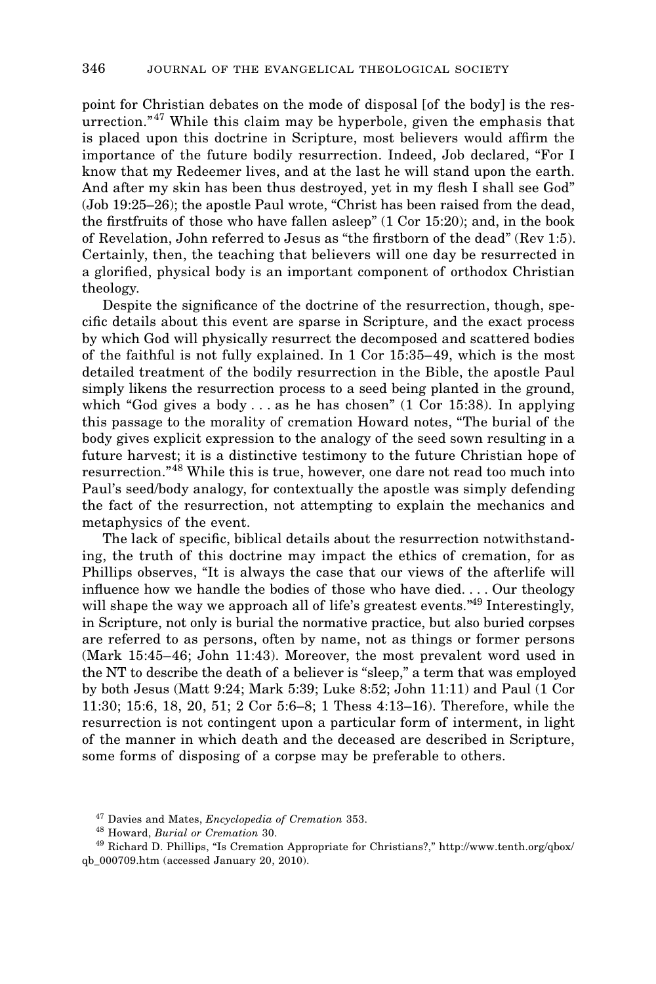point for Christian debates on the mode of disposal [of the body] is the resurrection."<sup>47</sup> While this claim may be hyperbole, given the emphasis that is placed upon this doctrine in Scripture, most believers would affirm the importance of the future bodily resurrection. Indeed, Job declared, "For I know that my Redeemer lives, and at the last he will stand upon the earth. And after my skin has been thus destroyed, yet in my flesh I shall see God" (Job 19:25–26); the apostle Paul wrote, "Christ has been raised from the dead, the firstfruits of those who have fallen asleep" (1 Cor 15:20); and, in the book of Revelation, John referred to Jesus as "the firstborn of the dead" (Rev 1:5). Certainly, then, the teaching that believers will one day be resurrected in a glorified, physical body is an important component of orthodox Christian theology.

Despite the significance of the doctrine of the resurrection, though, specific details about this event are sparse in Scripture, and the exact process by which God will physically resurrect the decomposed and scattered bodies of the faithful is not fully explained. In 1 Cor 15:35–49, which is the most detailed treatment of the bodily resurrection in the Bible, the apostle Paul simply likens the resurrection process to a seed being planted in the ground, which "God gives a body . . . as he has chosen" (1 Cor 15:38). In applying this passage to the morality of cremation Howard notes, "The burial of the body gives explicit expression to the analogy of the seed sown resulting in a future harvest; it is a distinctive testimony to the future Christian hope of resurrection."<sup>48</sup> While this is true, however, one dare not read too much into Paul's seed/body analogy, for contextually the apostle was simply defending the fact of the resurrection, not attempting to explain the mechanics and metaphysics of the event.

The lack of specific, biblical details about the resurrection notwithstanding, the truth of this doctrine may impact the ethics of cremation, for as Phillips observes, "It is always the case that our views of the afterlife will influence how we handle the bodies of those who have died. . . . Our theology will shape the way we approach all of life's greatest events."<sup>49</sup> Interestingly, in Scripture, not only is burial the normative practice, but also buried corpses are referred to as persons, often by name, not as things or former persons (Mark 15:45–46; John 11:43). Moreover, the most prevalent word used in the NT to describe the death of a believer is "sleep," a term that was employed by both Jesus (Matt 9:24; Mark 5:39; Luke 8:52; John 11:11) and Paul (1 Cor 11:30; 15:6, 18, 20, 51; 2 Cor 5:6–8; 1 Thess 4:13–16). Therefore, while the resurrection is not contingent upon a particular form of interment, in light of the manner in which death and the deceased are described in Scripture, some forms of disposing of a corpse may be preferable to others.

<sup>47</sup> Davies and Mates, *Encyclopedia of Cremation* 353.

<sup>48</sup> Howard, *Burial or Cremation* 30.

<sup>49</sup> Richard D. Phillips, "Is Cremation Appropriate for Christians?," http://www.tenth.org/qbox/ qb\_000709.htm (accessed January 20, 2010).